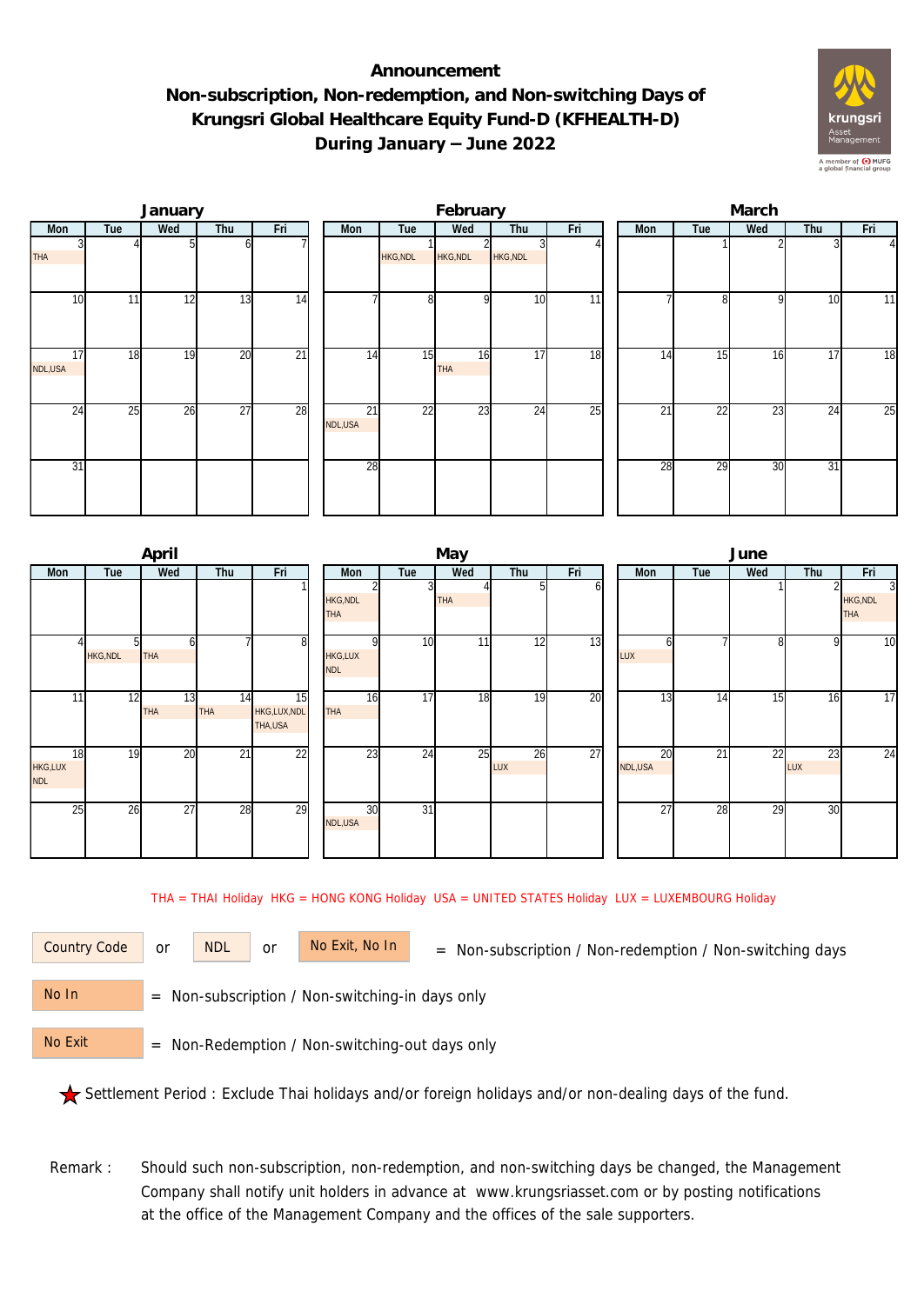## **Announcement Non-subscription, Non-redemption, and Non-switching Days of Krungsri Global Healthcare Equity Fund-D (KFHEALTH-D) During January – June 2022**



|               |     | January |                 |                 |               |                 | February  |                 |                 | March |     |     |     |                 |  |  |
|---------------|-----|---------|-----------------|-----------------|---------------|-----------------|-----------|-----------------|-----------------|-------|-----|-----|-----|-----------------|--|--|
| Mon           | Tue | Wed     | Thu             | Fri             | Mon           | Tue             | Wed       | Thu             | Fri             | Mon   | Tue | Wed | Thu | Fri             |  |  |
| <b>THA</b>    |     |         | ωI              |                 |               | HKG, NDL        | HKG, NDL  | HKG, NDL        |                 |       |     |     |     | $\Delta$        |  |  |
| 10            | 11  | 12      | 13              | 14              |               | 8               | οI        | 10              | $\overline{11}$ |       | 81  | 9   | 10  | 11              |  |  |
| 17<br>NDL,USA | 18  | 19      | 20              | $\overline{21}$ | 14            | 15              | 16<br>THA | 17              | 18              | 14    | 15  | 16  | 17  | $\overline{18}$ |  |  |
| 24            | 25  | 26      | $\overline{27}$ | 28              | 21<br>NDL,USA | $\overline{22}$ | 23        | $2\overline{4}$ | 25              | 21    | 22  | 23  | 24  | 25              |  |  |
| 31            |     |         |                 |                 | 28            |                 |           |                 |                 | 28    | 29  | 30  | 31  |                 |  |  |

|                             |                | April            |                  |                               |                                          |                 | May |           |     | June            |     |                 |           |                                                 |  |  |
|-----------------------------|----------------|------------------|------------------|-------------------------------|------------------------------------------|-----------------|-----|-----------|-----|-----------------|-----|-----------------|-----------|-------------------------------------------------|--|--|
| <b>Mon</b>                  | Tue            | Wed              | Thu              | Fri                           | <b>Mon</b>                               | Tue             | Wed | Thu       | Fri | <b>Mon</b>      | Tue | Wed             | Thu       | Fri                                             |  |  |
|                             |                |                  |                  |                               | <b>HKG, NDL</b><br><b>THA</b>            |                 | THA |           | ωI  |                 |     |                 |           | $\overline{3}$<br><b>HKG, NDL</b><br><b>THA</b> |  |  |
|                             | <b>HKG,NDL</b> | <b>THA</b>       |                  | 8 <sup>1</sup>                | $\Omega$<br><b>HKG,LUX</b><br><b>NDL</b> | 10 <sup>1</sup> | 11  | 12        | 13  | LUX             |     | 8               | 9         | 10                                              |  |  |
| 11                          | 12             | 13<br><b>THA</b> | 14<br><b>THA</b> | 15<br>HKG,LUX,NDL<br>THA, USA | 16<br><b>THA</b>                         | 17              | 18  | 19        | 20  | 13              | 14  | $1\overline{5}$ | 16        | 17                                              |  |  |
| 18<br>HKG,LUX<br><b>NDL</b> | 19             | 20               | $\overline{21}$  | 22                            | $2\overline{3}$                          | 24              | 25  | 26<br>LUX | 27  | 20<br>NDL, USA  | 21  | 22              | 23<br>LUX | 24                                              |  |  |
| 25                          | 26             | 27               | 28               | 29                            | 30<br>NDL,USA                            | $\overline{31}$ |     |           |     | $\overline{27}$ | 28  | 29              | 30        |                                                 |  |  |

THA = THAI Holiday HKG = HONG KONG Holiday USA = UNITED STATES Holiday LUX = LUXEMBOURG Holiday

or NDL or

Country Code or NDL or No Exit, No In = Non-subscription / Non-redemption / Non-switching days

 = Non-subscription / Non-switching-in days only No In

 = Non-Redemption / Non-switching-out days only No Exit

Settlement Period : Exclude Thai holidays and/or foreign holidays and/or non-dealing days of the fund.

Remark : Should such non-subscription, non-redemption, and non-switching days be changed, the Management Company shall notify unit holders in advance at www.krungsriasset.com or by posting notifications at the office of the Management Company and the offices of the sale supporters.